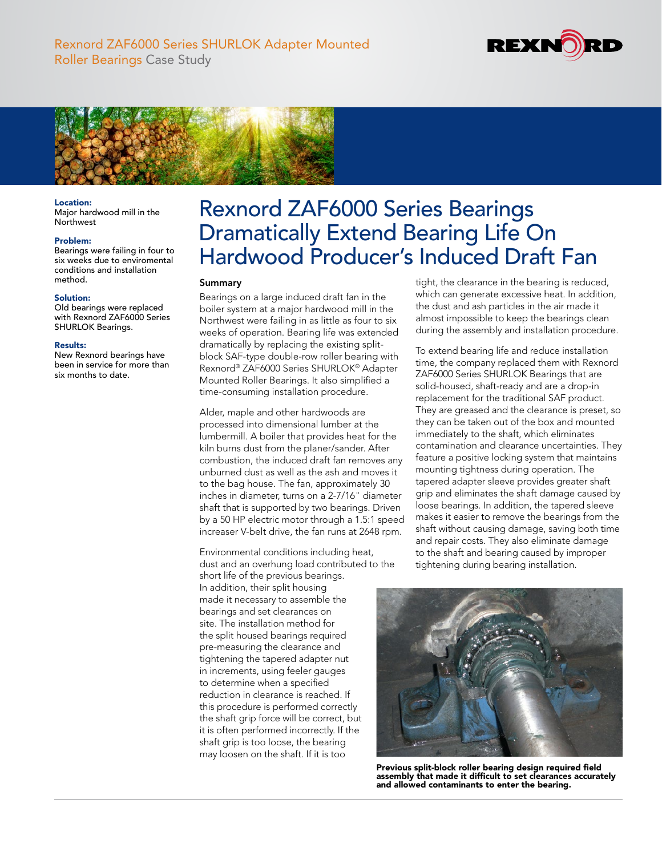



# Location:

Major hardwood mill in the **Northwest** 

### Problem:

Bearings were failing in four to six weeks due to enviromental conditions and installation method.

## Solution:

Old bearings were replaced with Rexnord ZAF6000 Series SHURLOK Bearings.

#### Results:

New Rexnord bearings have been in service for more than six months to date.

# Rexnord ZAF6000 Series Bearings Dramatically Extend Bearing Life On Hardwood Producer's Induced Draft Fan

# Summary

Bearings on a large induced draft fan in the boiler system at a major hardwood mill in the Northwest were failing in as little as four to six weeks of operation. Bearing life was extended dramatically by replacing the existing splitblock SAF-type double-row roller bearing with Rexnord® ZAF6000 Series SHURLOK® Adapter Mounted Roller Bearings. It also simplified a time-consuming installation procedure.

Alder, maple and other hardwoods are processed into dimensional lumber at the lumbermill. A boiler that provides heat for the kiln burns dust from the planer/sander. After combustion, the induced draft fan removes any unburned dust as well as the ash and moves it to the bag house. The fan, approximately 30 inches in diameter, turns on a 2-7/16" diameter shaft that is supported by two bearings. Driven by a 50 HP electric motor through a 1.5:1 speed increaser V-belt drive, the fan runs at 2648 rpm.

Environmental conditions including heat, dust and an overhung load contributed to the short life of the previous bearings.

In addition, their split housing made it necessary to assemble the bearings and set clearances on site. The installation method for the split housed bearings required pre-measuring the clearance and tightening the tapered adapter nut in increments, using feeler gauges to determine when a specified reduction in clearance is reached. If this procedure is performed correctly the shaft grip force will be correct, but it is often performed incorrectly. If the shaft grip is too loose, the bearing may loosen on the shaft. If it is too

tight, the clearance in the bearing is reduced, which can generate excessive heat. In addition, the dust and ash particles in the air made it almost impossible to keep the bearings clean during the assembly and installation procedure.

To extend bearing life and reduce installation time, the company replaced them with Rexnord ZAF6000 Series SHURLOK Bearings that are solid-housed, shaft-ready and are a drop-in replacement for the traditional SAF product. They are greased and the clearance is preset, so they can be taken out of the box and mounted immediately to the shaft, which eliminates contamination and clearance uncertainties. They feature a positive locking system that maintains mounting tightness during operation. The tapered adapter sleeve provides greater shaft grip and eliminates the shaft damage caused by loose bearings. In addition, the tapered sleeve makes it easier to remove the bearings from the shaft without causing damage, saving both time and repair costs. They also eliminate damage to the shaft and bearing caused by improper tightening during bearing installation.



Previous split-block roller bearing design required field assembly that made it difficult to set clearances accurately and allowed contaminants to enter the bearing.